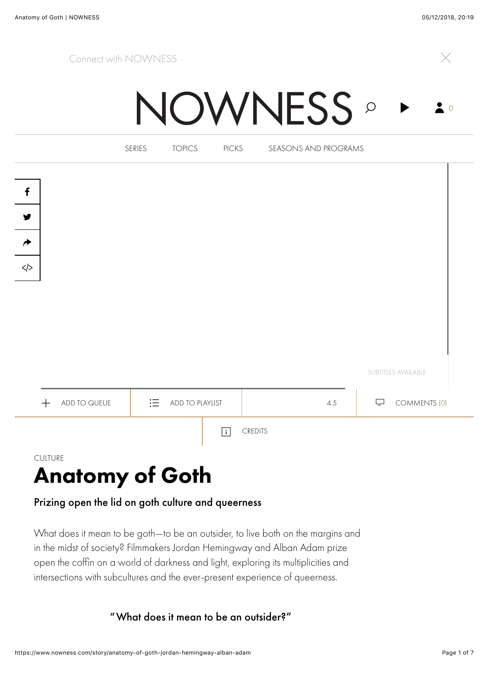## Connect with NOWNESS !



**NOWNESS** 



## Prizing open the lid on goth culture and queerness

What does it mean to be goth—to be an outsider, to live both on the margins and in the midst of society? Filmmakers Jordan Hemingway and Alban Adam prize open the coffin on a world of darkness and light, exploring its multiplicities and intersections with subcultures and the ever-present experience of queerness.

"What does it mean to be an outsider?"